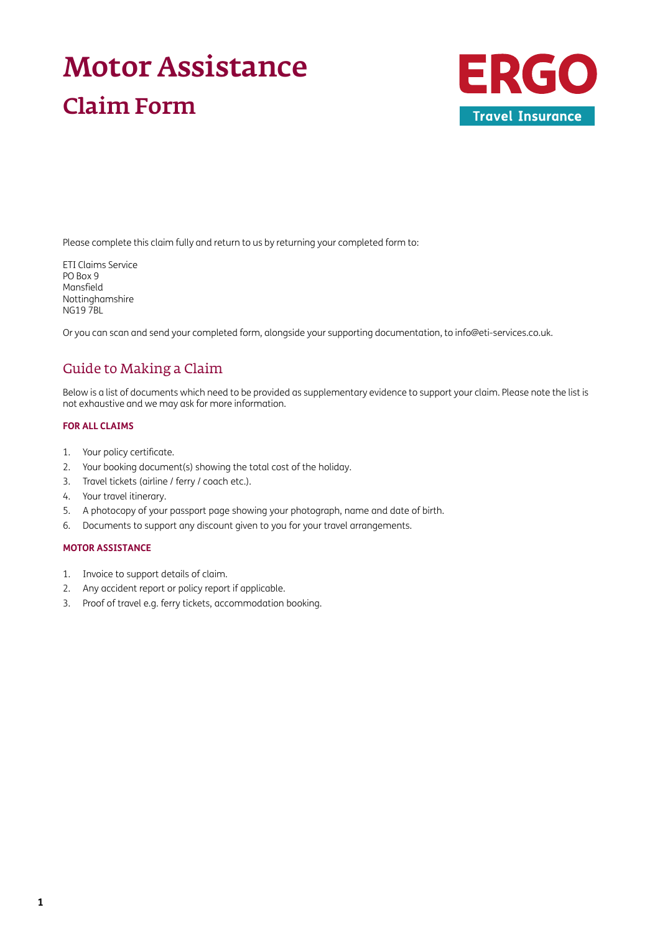# Motor Assistance Claim Form



Please complete this claim fully and return to us by returning your completed form to:

ETI Claims Service PO Box 9 Mansfield Nottinghamshire NG19 7BL

Or you can scan and send your completed form, alongside your supporting documentation, to [info@eti-services.co.uk.](mailto:info%40eti-services.co.uk?subject=)

## Guide to Making a Claim

Below is a list of documents which need to be provided as supplementary evidence to support your claim. Please note the list is not exhaustive and we may ask for more information.

## **FOR ALL CLAIMS**

- 1. Your policy certificate.
- 2. Your booking document(s) showing the total cost of the holiday.
- 3. Travel tickets (airline / ferry / coach etc.).
- 4. Your travel itinerary.
- 5. A photocopy of your passport page showing your photograph, name and date of birth.
- 6. Documents to support any discount given to you for your travel arrangements.

## **MOTOR ASSISTANCE**

- 1. Invoice to support details of claim.
- 2. Any accident report or policy report if applicable.
- 3. Proof of travel e.g. ferry tickets, accommodation booking.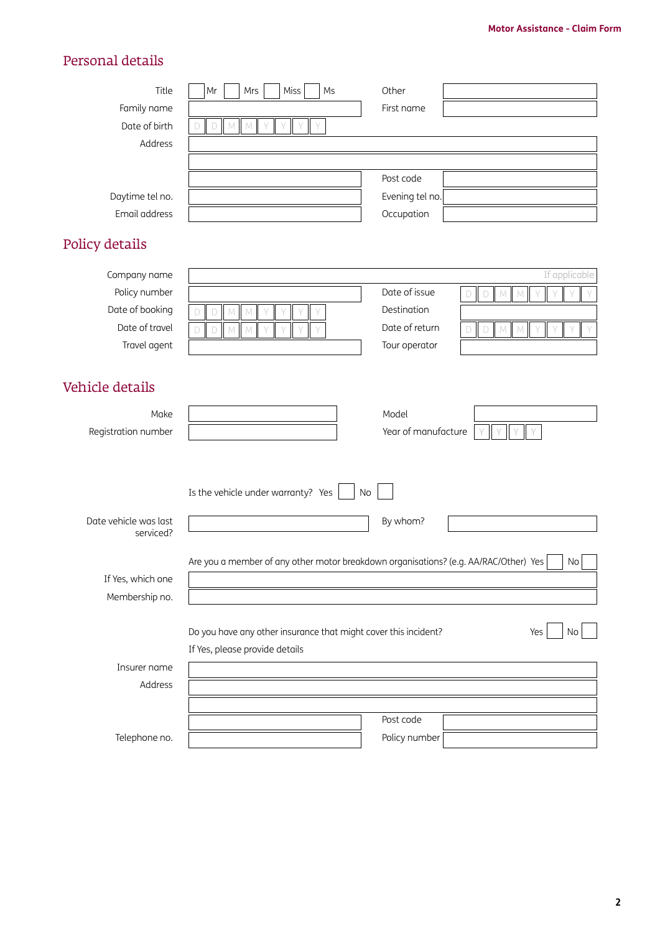# Personal details

| Title<br>Family name               | Miss<br>Mrs<br>M <sub>S</sub><br>Mr                                                                                        | Other<br>First name |                                                        |
|------------------------------------|----------------------------------------------------------------------------------------------------------------------------|---------------------|--------------------------------------------------------|
| Date of birth<br>Address           | $\Box$<br>$M_{\odot}$<br>M                                                                                                 |                     |                                                        |
|                                    |                                                                                                                            | Post code           |                                                        |
| Daytime tel no.                    |                                                                                                                            | Evening tel no.     |                                                        |
| Email address                      |                                                                                                                            | Occupation          |                                                        |
| Policy details                     |                                                                                                                            |                     |                                                        |
| Company name                       |                                                                                                                            |                     | If applicable                                          |
| Policy number                      |                                                                                                                            | Date of issue       | $\mathsf D$<br>${\mathbb M}$<br>$\Box$<br>$\mathbb{M}$ |
| Date of booking                    | D<br>M<br>M                                                                                                                | Destination         |                                                        |
| Date of travel                     | $\Box$<br>$M_{\odot}$<br>$\mathbb N$<br>D                                                                                  | Date of return      | $\Box$<br>$\mathbb N$<br>M<br>D                        |
| Travel agent                       |                                                                                                                            | Tour operator       |                                                        |
| Vehicle details<br>Make            |                                                                                                                            | Model               |                                                        |
| Registration number                |                                                                                                                            | Year of manufacture |                                                        |
| Date vehicle was last<br>serviced? | Is the vehicle under warranty? Yes<br>Are you a member of any other motor breakdown organisations? (e.g. AA/RAC/Other) Yes | No<br>By whom?      | No                                                     |
| If Yes, which one                  |                                                                                                                            |                     |                                                        |
| Membership no.                     |                                                                                                                            |                     |                                                        |
|                                    | Do you have any other insurance that might cover this incident?<br>If Yes, please provide details                          |                     | Yes<br>No                                              |
| Insurer name                       |                                                                                                                            |                     |                                                        |
| Address                            |                                                                                                                            |                     |                                                        |
|                                    |                                                                                                                            | Post code           |                                                        |
| Telephone no.                      |                                                                                                                            | Policy number       |                                                        |
|                                    |                                                                                                                            |                     |                                                        |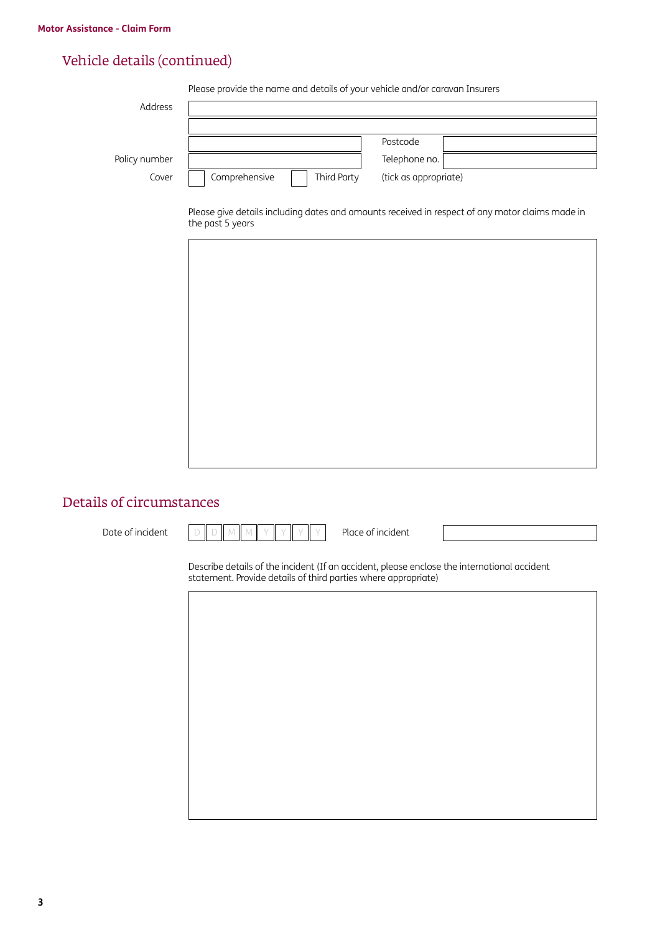# Vehicle details (continued)

Please provide the name and details of your vehicle and/or caravan Insurers

| Address       |                              |                       |
|---------------|------------------------------|-----------------------|
|               |                              |                       |
|               |                              | Postcode              |
| Policy number |                              | Telephone no.         |
| Cover         | Third Party<br>Comprehensive | (tick as appropriate) |

Please give details including dates and amounts received in respect of any motor claims made in the past 5 years



## Details of circumstances

| Date of incident |  |  |  |  |  |  |  |  | Place of incident |
|------------------|--|--|--|--|--|--|--|--|-------------------|
|------------------|--|--|--|--|--|--|--|--|-------------------|

Describe details of the incident (If an accident, please enclose the international accident statement. Provide details of third parties where appropriate)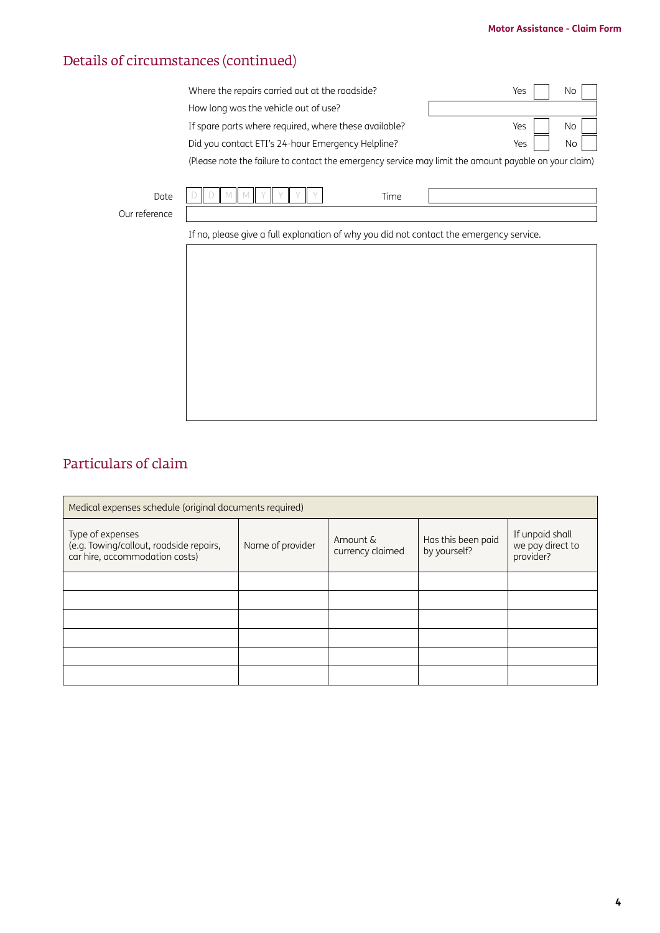## **Motor Assistance - Claim Form**

# Details of circumstances (continued)

| Where the repairs carried out at the roadside?        | Yes l | No              |
|-------------------------------------------------------|-------|-----------------|
| How long was the vehicle out of use?                  |       |                 |
| If spare parts where required, where these available? | Yes l | $No$            |
| Did you contact ETI's 24-hour Emergency Helpline?     | Yes   | No <sub>1</sub> |
|                                                       |       |                 |

(Please note the failure to contact the emergency service may limit the amount payable on your claim)

| Date | <b>STATE</b><br>$\sim$ | <i>i</i> ime |  |
|------|------------------------|--------------|--|
| ence |                        |              |  |

Our reference

If no, please give a full explanation of why you did not contact the emergency service.

# Particulars of claim

| Medical expenses schedule (original documents required)                                       |                  |                              |                                    |                                                  |  |  |  |
|-----------------------------------------------------------------------------------------------|------------------|------------------------------|------------------------------------|--------------------------------------------------|--|--|--|
| Type of expenses<br>(e.g. Towing/callout, roadside repairs,<br>car hire, accommodation costs) | Name of provider | Amount &<br>currency claimed | Has this been paid<br>by yourself? | If unpaid shall<br>we pay direct to<br>provider? |  |  |  |
|                                                                                               |                  |                              |                                    |                                                  |  |  |  |
|                                                                                               |                  |                              |                                    |                                                  |  |  |  |
|                                                                                               |                  |                              |                                    |                                                  |  |  |  |
|                                                                                               |                  |                              |                                    |                                                  |  |  |  |
|                                                                                               |                  |                              |                                    |                                                  |  |  |  |
|                                                                                               |                  |                              |                                    |                                                  |  |  |  |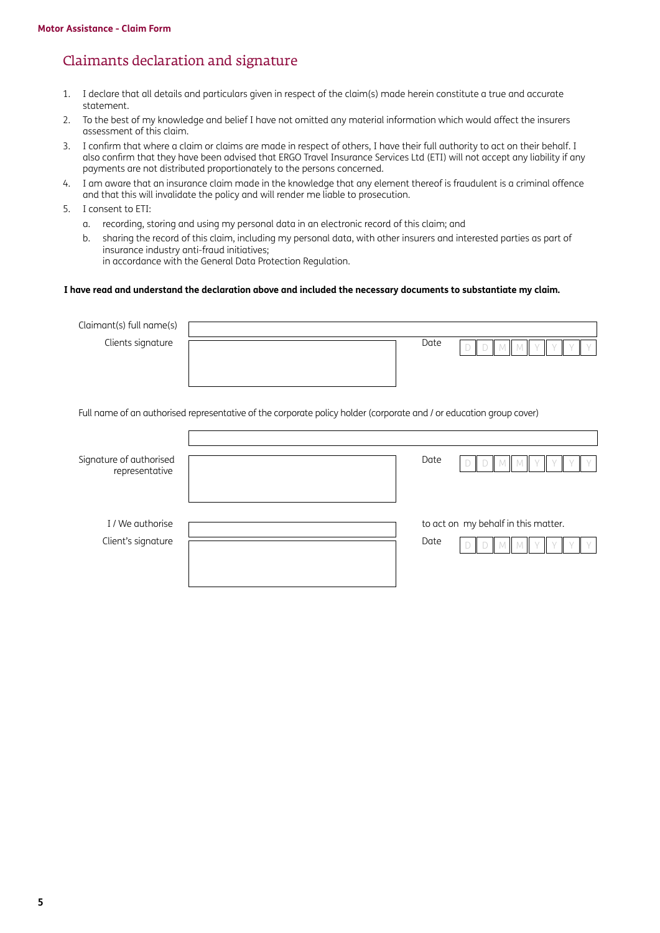## Claimants declaration and signature

- 1. I declare that all details and particulars given in respect of the claim(s) made herein constitute a true and accurate statement.
- 2. To the best of my knowledge and belief I have not omitted any material information which would affect the insurers assessment of this claim.
- 3. I confirm that where a claim or claims are made in respect of others, I have their full authority to act on their behalf. I also confirm that they have been advised that ERGO Travel Insurance Services Ltd (ETI) will not accept any liability if any payments are not distributed proportionately to the persons concerned.
- 4. I am aware that an insurance claim made in the knowledge that any element thereof is fraudulent is a criminal offence and that this will invalidate the policy and will render me liable to prosecution.
- 5. I consent to ETI:
	- a. recording, storing and using my personal data in an electronic record of this claim; and
	- b. sharing the record of this claim, including my personal data, with other insurers and interested parties as part of insurance industry anti-fraud initiatives; in accordance with the General Data Protection Regulation.

#### **I have read and understand the declaration above and included the necessary documents to substantiate my claim.**

| Claimant(s) full name(s) |                                                                                                                     |      |                                     |
|--------------------------|---------------------------------------------------------------------------------------------------------------------|------|-------------------------------------|
| Clients signature        |                                                                                                                     | Date |                                     |
|                          |                                                                                                                     |      |                                     |
|                          |                                                                                                                     |      |                                     |
|                          |                                                                                                                     |      |                                     |
|                          | Full name of an authorised representative of the corporate policy holder (corporate and / or education group cover) |      |                                     |
|                          |                                                                                                                     |      |                                     |
| Signature of authorised  |                                                                                                                     | Date |                                     |
| representative           |                                                                                                                     |      |                                     |
|                          |                                                                                                                     |      |                                     |
|                          |                                                                                                                     |      |                                     |
| I / We authorise         |                                                                                                                     |      | to act on my behalf in this matter. |
| Client's signature       |                                                                                                                     | Date |                                     |
|                          |                                                                                                                     |      |                                     |
|                          |                                                                                                                     |      |                                     |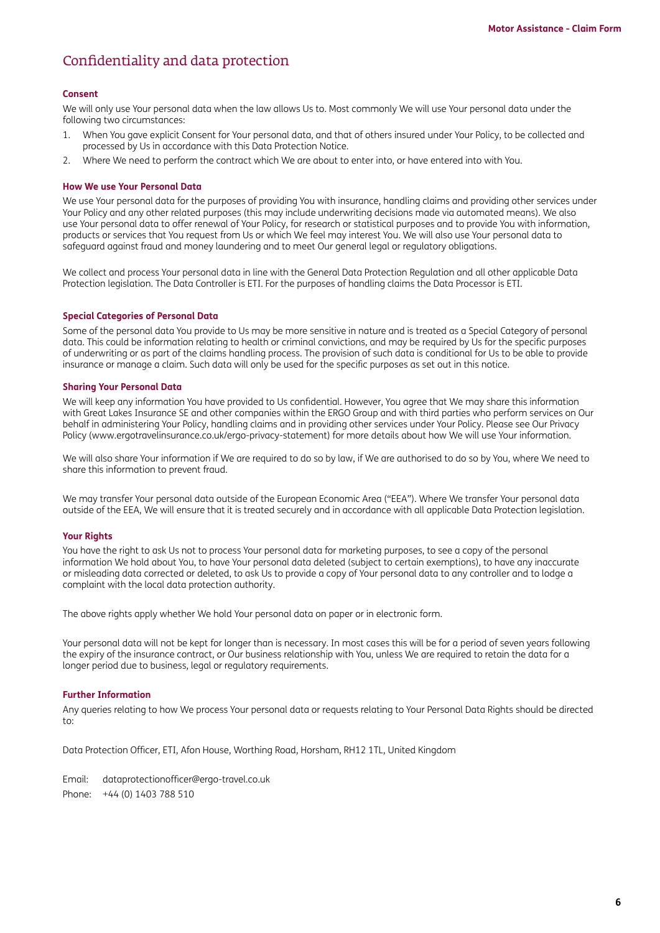## Confidentiality and data protection

#### **Consent**

We will only use Your personal data when the law allows Us to. Most commonly We will use Your personal data under the following two circumstances:

- 1. When You gave explicit Consent for Your personal data, and that of others insured under Your Policy, to be collected and processed by Us in accordance with this Data Protection Notice.
- 2. Where We need to perform the contract which We are about to enter into, or have entered into with You.

### **How We use Your Personal Data**

We use Your personal data for the purposes of providing You with insurance, handling claims and providing other services under Your Policy and any other related purposes (this may include underwriting decisions made via automated means). We also use Your personal data to offer renewal of Your Policy, for research or statistical purposes and to provide You with information, products or services that You request from Us or which We feel may interest You. We will also use Your personal data to safeguard against fraud and money laundering and to meet Our general legal or regulatory obligations.

We collect and process Your personal data in line with the General Data Protection Regulation and all other applicable Data Protection legislation. The Data Controller is ETI. For the purposes of handling claims the Data Processor is ETI.

#### **Special Categories of Personal Data**

Some of the personal data You provide to Us may be more sensitive in nature and is treated as a Special Category of personal data. This could be information relating to health or criminal convictions, and may be required by Us for the specific purposes of underwriting or as part of the claims handling process. The provision of such data is conditional for Us to be able to provide insurance or manage a claim. Such data will only be used for the specific purposes as set out in this notice.

#### **Sharing Your Personal Data**

We will keep any information You have provided to Us confidential. However, You agree that We may share this information with Great Lakes Insurance SE and other companies within the ERGO Group and with third parties who perform services on Our behalf in administering Your Policy, handling claims and in providing other services under Your Policy. Please see Our Privacy Policy [\(www.ergotravelinsurance.co.uk/ergo-privacy-statement](http://www.ergotravelinsurance.co.uk/ergo-privacy-statement)) for more details about how We will use Your information.

We will also share Your information if We are required to do so by law, if We are authorised to do so by You, where We need to share this information to prevent fraud.

We may transfer Your personal data outside of the European Economic Area ("EEA"). Where We transfer Your personal data outside of the EEA, We will ensure that it is treated securely and in accordance with all applicable Data Protection legislation.

#### **Your Rights**

You have the right to ask Us not to process Your personal data for marketing purposes, to see a copy of the personal information We hold about You, to have Your personal data deleted (subject to certain exemptions), to have any inaccurate or misleading data corrected or deleted, to ask Us to provide a copy of Your personal data to any controller and to lodge a complaint with the local data protection authority.

The above rights apply whether We hold Your personal data on paper or in electronic form.

Your personal data will not be kept for longer than is necessary. In most cases this will be for a period of seven years following the expiry of the insurance contract, or Our business relationship with You, unless We are required to retain the data for a longer period due to business, legal or regulatory requirements.

#### **Further Information**

Any queries relating to how We process Your personal data or requests relating to Your Personal Data Rights should be directed to:

Data Protection Officer, ETI, Afon House, Worthing Road, Horsham, RH12 1TL, United Kingdom

Email: [dataprotectionofficer@ergo-travel.co.uk](mailto:dataprotectionofficer%40ergo-travel.co.uk?subject=) Phone: +44 (0) 1403 788 510